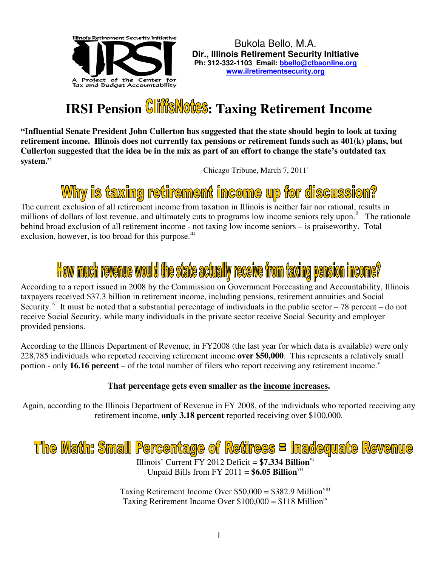

## **IRSI Pension Cliffs Notes: Taxing Retirement Income**

**"Influential Senate President John Cullerton has suggested that the state should begin to look at taxing retirement income. Illinois does not currently tax pensions or retirement funds such as 401(k) plans, but Cullerton suggested that the idea be in the mix as part of an effort to change the state's outdated tax system."** 

-Chicago Tribune, March 7, 2011<sup>i</sup>

## Why is taxing retirement income up for discussion?

The current exclusion of all retirement income from taxation in Illinois is neither fair nor rational, results in millions of dollars of lost revenue, and ultimately cuts to programs low income seniors rely upon.<sup>ii</sup> The rationale behind broad exclusion of all retirement income - not taxing low income seniors – is praiseworthy. Total exclusion, however, is too broad for this purpose.<sup>iii</sup>

# How much revenue would the state actually receive from taxing pension income?

According to a report issued in 2008 by the Commission on Government Forecasting and Accountability, Illinois taxpayers received \$37.3 billion in retirement income, including pensions, retirement annuities and Social Security.<sup>iv</sup> It must be noted that a substantial percentage of individuals in the public sector – 78 percent – do not receive Social Security, while many individuals in the private sector receive Social Security and employer provided pensions.

According to the Illinois Department of Revenue, in FY2008 (the last year for which data is available) were only 228,785 individuals who reported receiving retirement income **over \$50,000**. This represents a relatively small portion - only **16.16 percent** – of the total number of filers who report receiving any retirement income.<sup>v</sup>

#### **That percentage gets even smaller as the income increases.**

Again, according to the Illinois Department of Revenue in FY 2008, of the individuals who reported receiving any retirement income, **only 3.18 percent** reported receiving over \$100,000.

## The Math: Small Percentage of Retirees = Inadequate Revenue

Illinois' Current FY 2012 Deficit = **\$7.334 Billion**vi Unpaid Bills from FY 2011 =  $$6.05$  Billion<sup>vii</sup>

Taxing Retirement Income Over  $$50,000 = $382.9$  Million<sup>viii</sup> Taxing Retirement Income Over  $$100,000 = $118$  Million<sup>ix</sup>